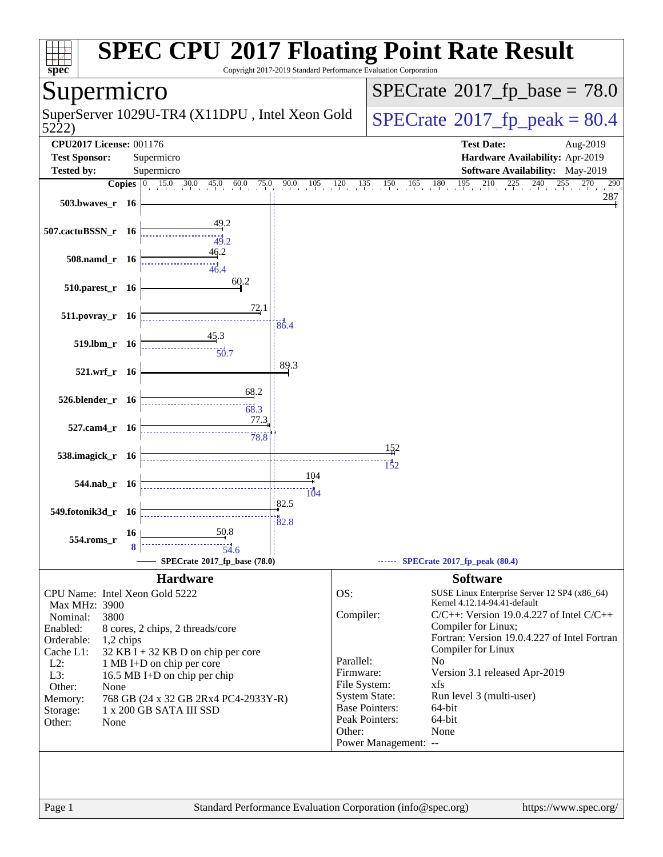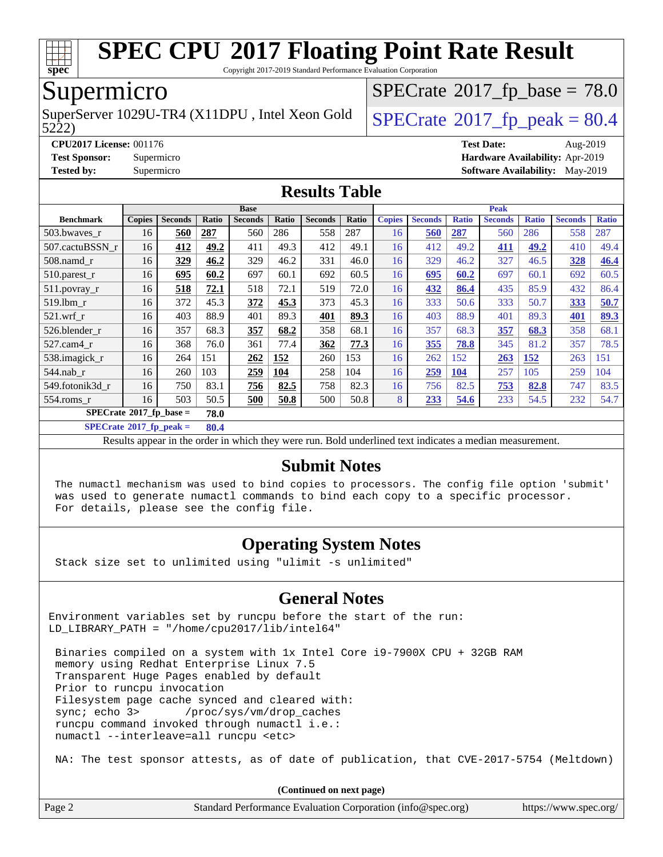

Copyright 2017-2019 Standard Performance Evaluation Corporation

### Supermicro

SuperServer 1029U-TR4 (X11DPU, Intel Xeon Gold  $\big|$  [SPECrate](http://www.spec.org/auto/cpu2017/Docs/result-fields.html#SPECrate2017fppeak)<sup>®</sup>[2017\\_fp\\_peak = 8](http://www.spec.org/auto/cpu2017/Docs/result-fields.html#SPECrate2017fppeak)0.4

 $SPECTate@2017_fp\_base = 78.0$ 

5222)

**[CPU2017 License:](http://www.spec.org/auto/cpu2017/Docs/result-fields.html#CPU2017License)** 001176 **[Test Date:](http://www.spec.org/auto/cpu2017/Docs/result-fields.html#TestDate)** Aug-2019 **[Test Sponsor:](http://www.spec.org/auto/cpu2017/Docs/result-fields.html#TestSponsor)** Supermicro **[Hardware Availability:](http://www.spec.org/auto/cpu2017/Docs/result-fields.html#HardwareAvailability)** Apr-2019 **[Tested by:](http://www.spec.org/auto/cpu2017/Docs/result-fields.html#Testedby)** Supermicro **[Software Availability:](http://www.spec.org/auto/cpu2017/Docs/result-fields.html#SoftwareAvailability)** May-2019

#### **[Results Table](http://www.spec.org/auto/cpu2017/Docs/result-fields.html#ResultsTable)**

|                                                | <b>Base</b>   |                |       |                | <b>Peak</b> |                |       |               |                |              |                |              |                |              |
|------------------------------------------------|---------------|----------------|-------|----------------|-------------|----------------|-------|---------------|----------------|--------------|----------------|--------------|----------------|--------------|
| <b>Benchmark</b>                               | <b>Copies</b> | <b>Seconds</b> | Ratio | <b>Seconds</b> | Ratio       | <b>Seconds</b> | Ratio | <b>Copies</b> | <b>Seconds</b> | <b>Ratio</b> | <b>Seconds</b> | <b>Ratio</b> | <b>Seconds</b> | <b>Ratio</b> |
| 503.bwayes_r                                   | 16            | 560            | 287   | 560            | 286         | 558            | 287   | 16            | 560            | 287          | 560            | 286          | 558            | 287          |
| 507.cactuBSSN r                                | 16            | 412            | 49.2  | 411            | 49.3        | 412            | 49.1  | 16            | 412            | 49.2         | 411            | 49.2         | 410            | 49.4         |
| 508.namd_r                                     | 16            | 329            | 46.2  | 329            | 46.2        | 331            | 46.0  | 16            | 329            | 46.2         | 327            | 46.5         | 328            | 46.4         |
| $510.parest_r$                                 | 16            | 695            | 60.2  | 697            | 60.1        | 692            | 60.5  | 16            | 695            | 60.2         | 697            | 60.1         | 692            | 60.5         |
| $511.$ povray_r                                | 16            | 518            | 72.1  | 518            | 72.1        | 519            | 72.0  | 16            | 432            | 86.4         | 435            | 85.9         | 432            | 86.4         |
| 519.lbm r                                      | 16            | 372            | 45.3  | 372            | 45.3        | 373            | 45.3  | 16            | 333            | 50.6         | 333            | 50.7         | 333            | 50.7         |
| $521$ .wrf r                                   | 16            | 403            | 88.9  | 401            | 89.3        | 401            | 89.3  | 16            | 403            | 88.9         | 401            | 89.3         | 401            | 89.3         |
| 526.blender r                                  | 16            | 357            | 68.3  | 357            | 68.2        | 358            | 68.1  | 16            | 357            | 68.3         | 357            | 68.3         | 358            | 68.1         |
| 527.cam4_r                                     | 16            | 368            | 76.0  | 361            | 77.4        | 362            | 77.3  | 16            | 355            | 78.8         | 345            | 81.2         | 357            | 78.5         |
| 538.imagick_r                                  | 16            | 264            | 151   | 262            | 152         | 260            | 153   | 16            | 262            | 152          | 263            | <b>152</b>   | 263            | 151          |
| $544$ .nab_r                                   | 16            | 260            | 103   | 259            | 104         | 258            | 104   | 16            | 259            | 104          | 257            | 105          | 259            | 104          |
| 549.fotonik3d r                                | 16            | 750            | 83.1  | 756            | 82.5        | 758            | 82.3  | 16            | 756            | 82.5         | 753            | 82.8         | 747            | 83.5         |
| $554$ .roms r                                  | 16            | 503            | 50.5  | 500            | 50.8        | 500            | 50.8  | 8             | 233            | 54.6         | 233            | 54.5         | 232            | 54.7         |
| $SPECrate$ <sup>®</sup> 2017_fp_base =<br>78.0 |               |                |       |                |             |                |       |               |                |              |                |              |                |              |

**[SPECrate](http://www.spec.org/auto/cpu2017/Docs/result-fields.html#SPECrate2017fppeak)[2017\\_fp\\_peak =](http://www.spec.org/auto/cpu2017/Docs/result-fields.html#SPECrate2017fppeak) 80.4**

Results appear in the [order in which they were run.](http://www.spec.org/auto/cpu2017/Docs/result-fields.html#RunOrder) Bold underlined text [indicates a median measurement.](http://www.spec.org/auto/cpu2017/Docs/result-fields.html#Median)

#### **[Submit Notes](http://www.spec.org/auto/cpu2017/Docs/result-fields.html#SubmitNotes)**

 The numactl mechanism was used to bind copies to processors. The config file option 'submit' was used to generate numactl commands to bind each copy to a specific processor. For details, please see the config file.

#### **[Operating System Notes](http://www.spec.org/auto/cpu2017/Docs/result-fields.html#OperatingSystemNotes)**

Stack size set to unlimited using "ulimit -s unlimited"

#### **[General Notes](http://www.spec.org/auto/cpu2017/Docs/result-fields.html#GeneralNotes)**

Environment variables set by runcpu before the start of the run: LD\_LIBRARY\_PATH = "/home/cpu2017/lib/intel64"

 Binaries compiled on a system with 1x Intel Core i9-7900X CPU + 32GB RAM memory using Redhat Enterprise Linux 7.5 Transparent Huge Pages enabled by default Prior to runcpu invocation Filesystem page cache synced and cleared with: sync; echo 3> /proc/sys/vm/drop\_caches runcpu command invoked through numactl i.e.: numactl --interleave=all runcpu <etc>

NA: The test sponsor attests, as of date of publication, that CVE-2017-5754 (Meltdown)

**(Continued on next page)**

| Page 2 | Standard Performance Evaluation Corporation (info@spec.org) | https://www.spec.org/ |
|--------|-------------------------------------------------------------|-----------------------|
|--------|-------------------------------------------------------------|-----------------------|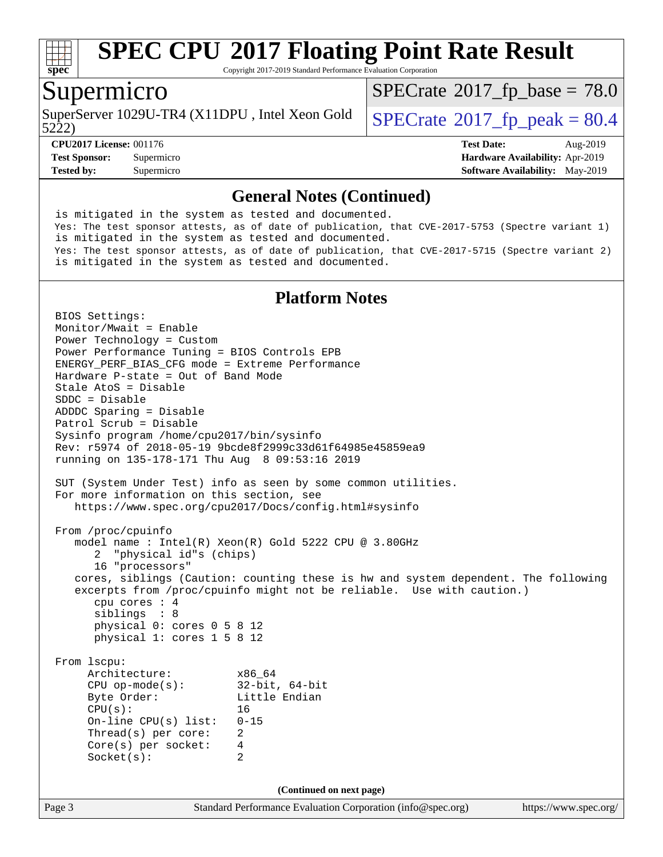

Copyright 2017-2019 Standard Performance Evaluation Corporation

#### Supermicro

SuperServer 1029U-TR4 (X11DPU, Intel Xeon Gold  $\big|$  [SPECrate](http://www.spec.org/auto/cpu2017/Docs/result-fields.html#SPECrate2017fppeak)<sup>®</sup>[2017\\_fp\\_peak = 8](http://www.spec.org/auto/cpu2017/Docs/result-fields.html#SPECrate2017fppeak)0.4

 $SPECTate@2017_fp\_base = 78.0$ 

5222)

**[Tested by:](http://www.spec.org/auto/cpu2017/Docs/result-fields.html#Testedby)** Supermicro **[Software Availability:](http://www.spec.org/auto/cpu2017/Docs/result-fields.html#SoftwareAvailability)** May-2019

**[CPU2017 License:](http://www.spec.org/auto/cpu2017/Docs/result-fields.html#CPU2017License)** 001176 **[Test Date:](http://www.spec.org/auto/cpu2017/Docs/result-fields.html#TestDate)** Aug-2019 **[Test Sponsor:](http://www.spec.org/auto/cpu2017/Docs/result-fields.html#TestSponsor)** Supermicro **[Hardware Availability:](http://www.spec.org/auto/cpu2017/Docs/result-fields.html#HardwareAvailability)** Apr-2019

#### **[General Notes \(Continued\)](http://www.spec.org/auto/cpu2017/Docs/result-fields.html#GeneralNotes)**

 is mitigated in the system as tested and documented. Yes: The test sponsor attests, as of date of publication, that CVE-2017-5753 (Spectre variant 1) is mitigated in the system as tested and documented. Yes: The test sponsor attests, as of date of publication, that CVE-2017-5715 (Spectre variant 2) is mitigated in the system as tested and documented.

#### **[Platform Notes](http://www.spec.org/auto/cpu2017/Docs/result-fields.html#PlatformNotes)**

Page 3 Standard Performance Evaluation Corporation [\(info@spec.org\)](mailto:info@spec.org) <https://www.spec.org/> BIOS Settings: Monitor/Mwait = Enable Power Technology = Custom Power Performance Tuning = BIOS Controls EPB ENERGY\_PERF\_BIAS\_CFG mode = Extreme Performance Hardware P-state = Out of Band Mode Stale AtoS = Disable SDDC = Disable ADDDC Sparing = Disable Patrol Scrub = Disable Sysinfo program /home/cpu2017/bin/sysinfo Rev: r5974 of 2018-05-19 9bcde8f2999c33d61f64985e45859ea9 running on 135-178-171 Thu Aug 8 09:53:16 2019 SUT (System Under Test) info as seen by some common utilities. For more information on this section, see <https://www.spec.org/cpu2017/Docs/config.html#sysinfo> From /proc/cpuinfo model name : Intel(R) Xeon(R) Gold 5222 CPU @ 3.80GHz 2 "physical id"s (chips) 16 "processors" cores, siblings (Caution: counting these is hw and system dependent. The following excerpts from /proc/cpuinfo might not be reliable. Use with caution.) cpu cores : 4 siblings : 8 physical 0: cores 0 5 8 12 physical 1: cores 1 5 8 12 From lscpu: Architecture: x86\_64 CPU op-mode(s): 32-bit, 64-bit<br>Byte Order: Little Endian Little Endian CPU(s): 16 On-line CPU(s) list: 0-15 Thread(s) per core: 2 Core(s) per socket: 4 Socket(s): 2 **(Continued on next page)**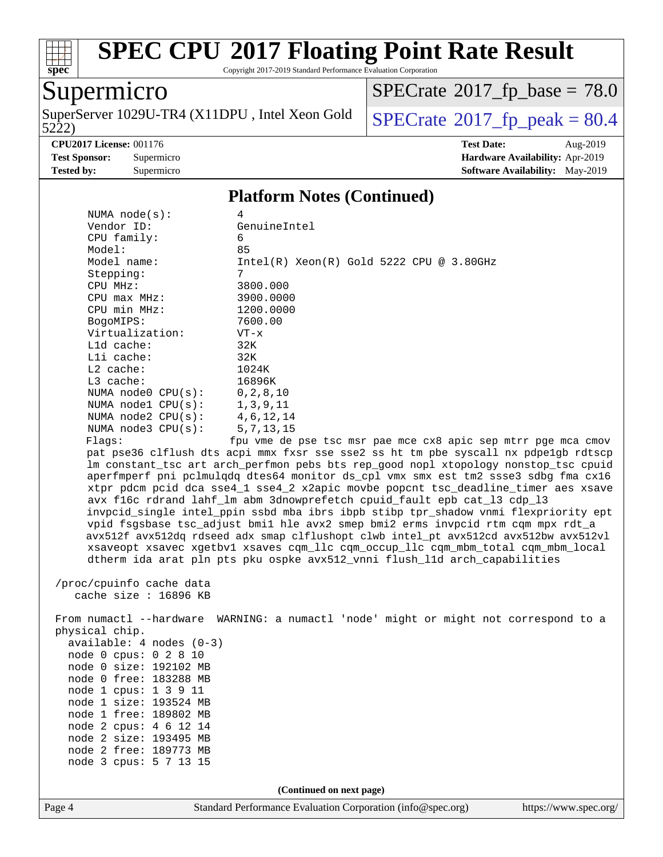

Copyright 2017-2019 Standard Performance Evaluation Corporation

### Supermicro

5222) SuperServer 1029U-TR4 (X11DPU, Intel Xeon Gold  $\big|$  [SPECrate](http://www.spec.org/auto/cpu2017/Docs/result-fields.html#SPECrate2017fppeak)<sup>®</sup>[2017\\_fp\\_peak = 8](http://www.spec.org/auto/cpu2017/Docs/result-fields.html#SPECrate2017fppeak)0.4

 $SPECTate@2017_fp\_base = 78.0$ 

**[CPU2017 License:](http://www.spec.org/auto/cpu2017/Docs/result-fields.html#CPU2017License)** 001176 **[Test Date:](http://www.spec.org/auto/cpu2017/Docs/result-fields.html#TestDate)** Aug-2019 **[Test Sponsor:](http://www.spec.org/auto/cpu2017/Docs/result-fields.html#TestSponsor)** Supermicro **[Hardware Availability:](http://www.spec.org/auto/cpu2017/Docs/result-fields.html#HardwareAvailability)** Apr-2019 **[Tested by:](http://www.spec.org/auto/cpu2017/Docs/result-fields.html#Testedby)** Supermicro **Supermicro [Software Availability:](http://www.spec.org/auto/cpu2017/Docs/result-fields.html#SoftwareAvailability)** May-2019

#### **[Platform Notes \(Continued\)](http://www.spec.org/auto/cpu2017/Docs/result-fields.html#PlatformNotes)**

| NUMA $node(s):$                   | 4                                             |           |  |  |  |  |  |  |  |
|-----------------------------------|-----------------------------------------------|-----------|--|--|--|--|--|--|--|
| Vendor ID:                        | GenuineIntel                                  |           |  |  |  |  |  |  |  |
| $CPU$ family:                     | 6                                             |           |  |  |  |  |  |  |  |
| Model:                            | 85                                            |           |  |  |  |  |  |  |  |
| Model name:                       | $Intel(R)$ Xeon $(R)$ Gold 5222 CPU @ 3.80GHz |           |  |  |  |  |  |  |  |
| Stepping:                         | 7                                             |           |  |  |  |  |  |  |  |
| $CPIJ$ $MHz:$                     | 3800.000                                      |           |  |  |  |  |  |  |  |
| $CPU$ max $MHz$ :                 | 3900.0000                                     |           |  |  |  |  |  |  |  |
| CPU min MHz:                      |                                               | 1200.0000 |  |  |  |  |  |  |  |
| BogoMIPS:                         |                                               |           |  |  |  |  |  |  |  |
| Virtualization:                   | $VT - x$                                      |           |  |  |  |  |  |  |  |
| $L1d$ cache:                      | 32K                                           |           |  |  |  |  |  |  |  |
| $L1i$ cache:                      | 32K                                           |           |  |  |  |  |  |  |  |
| $L2$ cache:                       | 1024K                                         |           |  |  |  |  |  |  |  |
| $L3$ cache:                       | 16896K                                        |           |  |  |  |  |  |  |  |
| NUMA node0 $CPU(s):$ 0, 2, 8, 10  |                                               |           |  |  |  |  |  |  |  |
| NUMA nodel $CPU(s):$ 1,3,9,11     |                                               |           |  |  |  |  |  |  |  |
| NUMA node2 $CPU(s):$ 4, 6, 12, 14 |                                               |           |  |  |  |  |  |  |  |
| NUMA node3 $CPU(s):$ 5,7,13,15    |                                               |           |  |  |  |  |  |  |  |
| Flaqs:                            | fpu vme de pse tsc msr pae mce cx8 apic sep n |           |  |  |  |  |  |  |  |

mtrr pge mca cmov pat pse36 clflush dts acpi mmx fxsr sse sse2 ss ht tm pbe syscall nx pdpe1gb rdtscp lm constant\_tsc art arch\_perfmon pebs bts rep\_good nopl xtopology nonstop\_tsc cpuid aperfmperf pni pclmulqdq dtes64 monitor ds\_cpl vmx smx est tm2 ssse3 sdbg fma cx16 xtpr pdcm pcid dca sse4\_1 sse4\_2 x2apic movbe popcnt tsc\_deadline\_timer aes xsave avx f16c rdrand lahf\_lm abm 3dnowprefetch cpuid\_fault epb cat\_l3 cdp\_l3 invpcid\_single intel\_ppin ssbd mba ibrs ibpb stibp tpr\_shadow vnmi flexpriority ept vpid fsgsbase tsc\_adjust bmi1 hle avx2 smep bmi2 erms invpcid rtm cqm mpx rdt\_a avx512f avx512dq rdseed adx smap clflushopt clwb intel\_pt avx512cd avx512bw avx512vl xsaveopt xsavec xgetbv1 xsaves cqm\_llc cqm\_occup\_llc cqm\_mbm\_total cqm\_mbm\_local dtherm ida arat pln pts pku ospke avx512\_vnni flush\_l1d arch\_capabilities

 /proc/cpuinfo cache data cache size : 16896 KB

 From numactl --hardware WARNING: a numactl 'node' might or might not correspond to a physical chip. available: 4 nodes (0-3) node 0 cpus: 0 2 8 10 node 0 size: 192102 MB node 0 free: 183288 MB node 1 cpus: 1 3 9 11 node 1 size: 193524 MB node 1 free: 189802 MB node 2 cpus: 4 6 12 14 node 2 size: 193495 MB node 2 free: 189773 MB node 3 cpus: 5 7 13 15

**(Continued on next page)**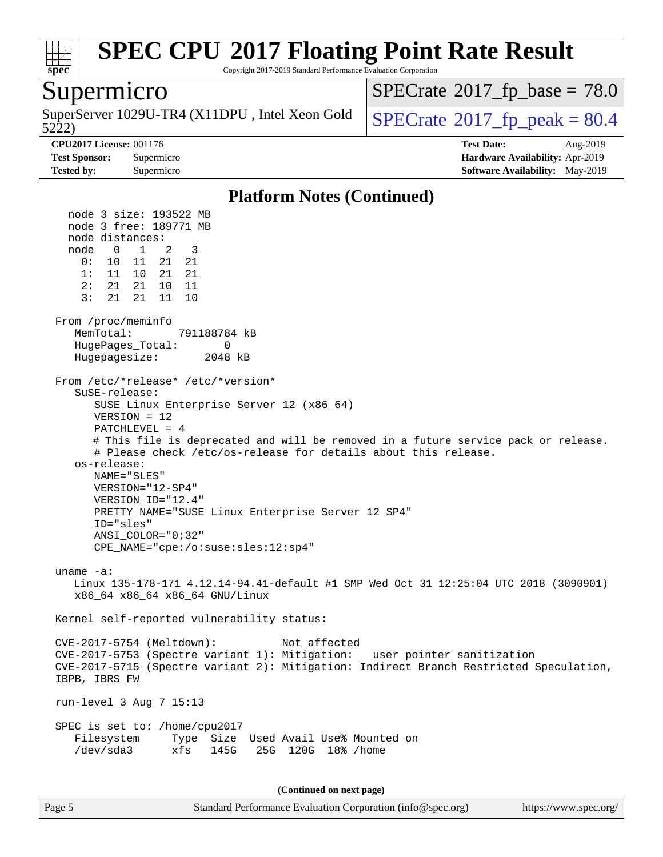

Copyright 2017-2019 Standard Performance Evaluation Corporation

#### Supermicro

5222) SuperServer 1029U-TR4 (X11DPU, Intel Xeon Gold  $\big|$  [SPECrate](http://www.spec.org/auto/cpu2017/Docs/result-fields.html#SPECrate2017fppeak)<sup>®</sup>[2017\\_fp\\_peak = 8](http://www.spec.org/auto/cpu2017/Docs/result-fields.html#SPECrate2017fppeak)0.4

 $SPECTate@2017_fp\_base = 78.0$ 

**[CPU2017 License:](http://www.spec.org/auto/cpu2017/Docs/result-fields.html#CPU2017License)** 001176 **[Test Date:](http://www.spec.org/auto/cpu2017/Docs/result-fields.html#TestDate)** Aug-2019 **[Test Sponsor:](http://www.spec.org/auto/cpu2017/Docs/result-fields.html#TestSponsor)** Supermicro **[Hardware Availability:](http://www.spec.org/auto/cpu2017/Docs/result-fields.html#HardwareAvailability)** Apr-2019 **[Tested by:](http://www.spec.org/auto/cpu2017/Docs/result-fields.html#Testedby)** Supermicro **[Software Availability:](http://www.spec.org/auto/cpu2017/Docs/result-fields.html#SoftwareAvailability)** May-2019

#### **[Platform Notes \(Continued\)](http://www.spec.org/auto/cpu2017/Docs/result-fields.html#PlatformNotes)**

 node 3 size: 193522 MB node 3 free: 189771 MB node distances: node 0 1 2 3 0: 10 11 21 21 1: 11 10 21 21 2: 21 21 10 11 3: 21 21 11 10 From /proc/meminfo MemTotal: 791188784 kB HugePages Total: 0 Hugepagesize: 2048 kB From /etc/\*release\* /etc/\*version\* SuSE-release: SUSE Linux Enterprise Server 12 (x86\_64) VERSION = 12 PATCHLEVEL = 4 # This file is deprecated and will be removed in a future service pack or release. # Please check /etc/os-release for details about this release. os-release: NAME="SLES" VERSION="12-SP4" VERSION\_ID="12.4" PRETTY\_NAME="SUSE Linux Enterprise Server 12 SP4" ID="sles" ANSI\_COLOR="0;32" CPE\_NAME="cpe:/o:suse:sles:12:sp4" uname -a: Linux 135-178-171 4.12.14-94.41-default #1 SMP Wed Oct 31 12:25:04 UTC 2018 (3090901) x86\_64 x86\_64 x86\_64 GNU/Linux Kernel self-reported vulnerability status: CVE-2017-5754 (Meltdown): Not affected CVE-2017-5753 (Spectre variant 1): Mitigation: \_\_user pointer sanitization CVE-2017-5715 (Spectre variant 2): Mitigation: Indirect Branch Restricted Speculation, IBPB, IBRS\_FW run-level 3 Aug 7 15:13 SPEC is set to: /home/cpu2017 Filesystem Type Size Used Avail Use% Mounted on /dev/sda3 xfs 145G 25G 120G 18% /home

**(Continued on next page)**

Page 5 Standard Performance Evaluation Corporation [\(info@spec.org\)](mailto:info@spec.org) <https://www.spec.org/>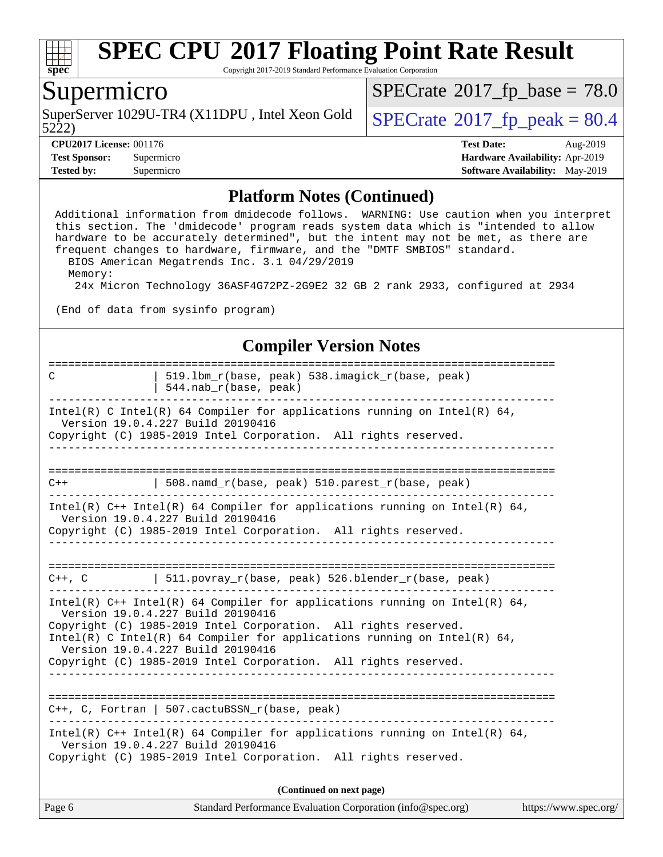

Copyright 2017-2019 Standard Performance Evaluation Corporation

#### Supermicro

SuperServer 1029U-TR4 (X11DPU, Intel Xeon Gold<br>5222)

 $SPECrate$ <sup>®</sup>[2017\\_fp\\_base =](http://www.spec.org/auto/cpu2017/Docs/result-fields.html#SPECrate2017fpbase) 78.0

 $SPECrate$ <sup>®</sup>[2017\\_fp\\_peak = 8](http://www.spec.org/auto/cpu2017/Docs/result-fields.html#SPECrate2017fppeak)0.4

**[CPU2017 License:](http://www.spec.org/auto/cpu2017/Docs/result-fields.html#CPU2017License)** 001176 **[Test Date:](http://www.spec.org/auto/cpu2017/Docs/result-fields.html#TestDate)** Aug-2019 **[Test Sponsor:](http://www.spec.org/auto/cpu2017/Docs/result-fields.html#TestSponsor)** Supermicro **[Hardware Availability:](http://www.spec.org/auto/cpu2017/Docs/result-fields.html#HardwareAvailability)** Apr-2019 **[Tested by:](http://www.spec.org/auto/cpu2017/Docs/result-fields.html#Testedby)** Supermicro **Supermicro [Software Availability:](http://www.spec.org/auto/cpu2017/Docs/result-fields.html#SoftwareAvailability)** May-2019

#### **[Platform Notes \(Continued\)](http://www.spec.org/auto/cpu2017/Docs/result-fields.html#PlatformNotes)**

 Additional information from dmidecode follows. WARNING: Use caution when you interpret this section. The 'dmidecode' program reads system data which is "intended to allow hardware to be accurately determined", but the intent may not be met, as there are frequent changes to hardware, firmware, and the "DMTF SMBIOS" standard. BIOS American Megatrends Inc. 3.1 04/29/2019 Memory: 24x Micron Technology 36ASF4G72PZ-2G9E2 32 GB 2 rank 2933, configured at 2934 (End of data from sysinfo program)

#### **[Compiler Version Notes](http://www.spec.org/auto/cpu2017/Docs/result-fields.html#CompilerVersionNotes)**

| Page 6 | Standard Performance Evaluation Corporation (info@spec.org)<br>https://www.spec.org/                                                                                               |
|--------|------------------------------------------------------------------------------------------------------------------------------------------------------------------------------------|
|        | (Continued on next page)                                                                                                                                                           |
|        | Intel(R) C++ Intel(R) 64 Compiler for applications running on Intel(R) 64,<br>Version 19.0.4.227 Build 20190416<br>Copyright (C) 1985-2019 Intel Corporation. All rights reserved. |
|        | $C++$ , C, Fortran   507.cactuBSSN_r(base, peak)                                                                                                                                   |
|        | ----------------                                                                                                                                                                   |
|        | Version 19.0.4.227 Build 20190416<br>Copyright (C) 1985-2019 Intel Corporation. All rights reserved.                                                                               |
|        | Version 19.0.4.227 Build 20190416<br>Copyright (C) 1985-2019 Intel Corporation. All rights reserved.<br>Intel(R) C Intel(R) 64 Compiler for applications running on Intel(R) 64,   |
|        | Intel(R) $C++$ Intel(R) 64 Compiler for applications running on Intel(R) 64,                                                                                                       |
|        | $C++$ , C $\qquad \qquad$ 511.povray_r(base, peak) 526.blender_r(base, peak)                                                                                                       |
|        | Copyright (C) 1985-2019 Intel Corporation. All rights reserved.                                                                                                                    |
|        | Intel(R) $C++$ Intel(R) 64 Compiler for applications running on Intel(R) 64,<br>Version 19.0.4.227 Build 20190416                                                                  |
| $C++$  | 508.namd_r(base, peak) 510.parest_r(base, peak)                                                                                                                                    |
|        | Copyright (C) 1985-2019 Intel Corporation. All rights reserved.<br>___________________________________                                                                             |
|        | Intel(R) C Intel(R) 64 Compiler for applications running on Intel(R) 64,<br>Version 19.0.4.227 Build 20190416                                                                      |
| C      | 519.1bm_r(base, peak) 538.imagick_r(base, peak)<br>$544.nab_r(base, peak)$                                                                                                         |
|        |                                                                                                                                                                                    |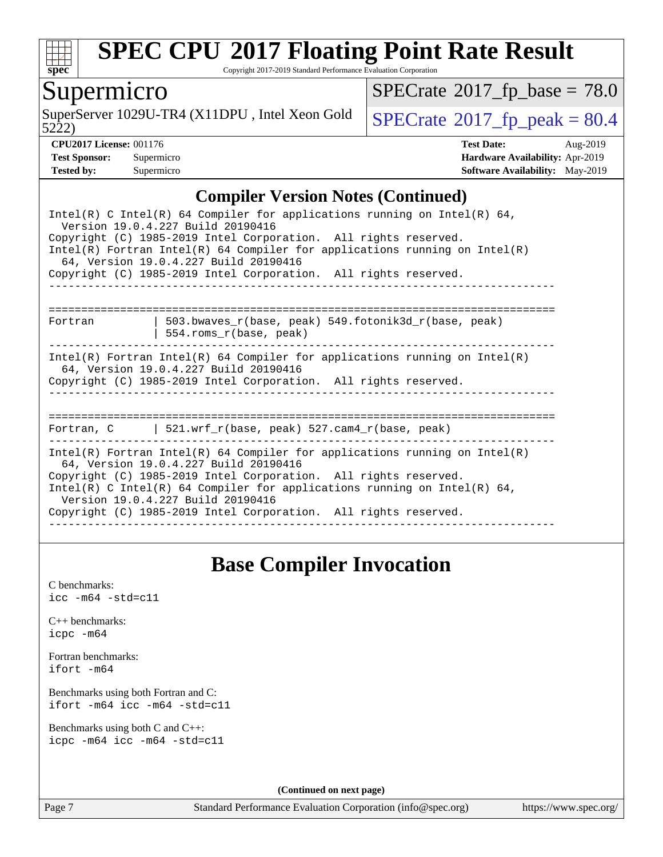

Copyright 2017-2019 Standard Performance Evaluation Corporation

### Supermicro

5222) SuperServer 1029U-TR4 (X11DPU, Intel Xeon Gold  $\big|$  [SPECrate](http://www.spec.org/auto/cpu2017/Docs/result-fields.html#SPECrate2017fppeak)<sup>®</sup>[2017\\_fp\\_peak = 8](http://www.spec.org/auto/cpu2017/Docs/result-fields.html#SPECrate2017fppeak)0.4

 $SPECrate$ <sup>®</sup>[2017\\_fp\\_base =](http://www.spec.org/auto/cpu2017/Docs/result-fields.html#SPECrate2017fpbase) 78.0

| <b>Test Sponsor:</b> | Supermicro |
|----------------------|------------|
| Tested by:           | Supermicro |

**[CPU2017 License:](http://www.spec.org/auto/cpu2017/Docs/result-fields.html#CPU2017License)** 001176 **[Test Date:](http://www.spec.org/auto/cpu2017/Docs/result-fields.html#TestDate)** Aug-2019 **[Hardware Availability:](http://www.spec.org/auto/cpu2017/Docs/result-fields.html#HardwareAvailability)** Apr-2019 **[Software Availability:](http://www.spec.org/auto/cpu2017/Docs/result-fields.html#SoftwareAvailability)** May-2019

#### **[Compiler Version Notes \(Continued\)](http://www.spec.org/auto/cpu2017/Docs/result-fields.html#CompilerVersionNotes)**

| Intel(R) C Intel(R) 64 Compiler for applications running on Intel(R) 64,<br>Version 19.0.4.227 Build 20190416<br>Copyright (C) 1985-2019 Intel Corporation. All rights reserved.       |                                                                                                                       |  |  |  |  |  |
|----------------------------------------------------------------------------------------------------------------------------------------------------------------------------------------|-----------------------------------------------------------------------------------------------------------------------|--|--|--|--|--|
|                                                                                                                                                                                        | Intel(R) Fortran Intel(R) 64 Compiler for applications running on Intel(R)<br>64, Version 19.0.4.227 Build 20190416   |  |  |  |  |  |
|                                                                                                                                                                                        | Copyright (C) 1985-2019 Intel Corporation. All rights reserved.                                                       |  |  |  |  |  |
|                                                                                                                                                                                        |                                                                                                                       |  |  |  |  |  |
| Fortran                                                                                                                                                                                | 503.bwaves r(base, peak) 549.fotonik3d r(base, peak)<br>554.roms_r(base, peak)                                        |  |  |  |  |  |
| Intel(R) Fortran Intel(R) 64 Compiler for applications running on Intel(R)<br>64, Version 19.0.4.227 Build 20190416<br>Copyright (C) 1985-2019 Intel Corporation. All rights reserved. |                                                                                                                       |  |  |  |  |  |
|                                                                                                                                                                                        |                                                                                                                       |  |  |  |  |  |
|                                                                                                                                                                                        |                                                                                                                       |  |  |  |  |  |
|                                                                                                                                                                                        | Fortran, C   521.wrf_r(base, peak) 527.cam4_r(base, peak)                                                             |  |  |  |  |  |
|                                                                                                                                                                                        | $Intel(R)$ Fortran Intel(R) 64 Compiler for applications running on Intel(R)<br>64, Version 19.0.4.227 Build 20190416 |  |  |  |  |  |
| Copyright (C) 1985-2019 Intel Corporation. All rights reserved.<br>Intel(R) C Intel(R) 64 Compiler for applications running on Intel(R) 64,<br>Version 19.0.4.227 Build 20190416       |                                                                                                                       |  |  |  |  |  |
|                                                                                                                                                                                        | Copyright (C) 1985-2019 Intel Corporation. All rights reserved.                                                       |  |  |  |  |  |
|                                                                                                                                                                                        |                                                                                                                       |  |  |  |  |  |

### **[Base Compiler Invocation](http://www.spec.org/auto/cpu2017/Docs/result-fields.html#BaseCompilerInvocation)**

[C benchmarks](http://www.spec.org/auto/cpu2017/Docs/result-fields.html#Cbenchmarks): [icc -m64 -std=c11](http://www.spec.org/cpu2017/results/res2019q3/cpu2017-20190819-17118.flags.html#user_CCbase_intel_icc_64bit_c11_33ee0cdaae7deeeab2a9725423ba97205ce30f63b9926c2519791662299b76a0318f32ddfffdc46587804de3178b4f9328c46fa7c2b0cd779d7a61945c91cd35)

[C++ benchmarks:](http://www.spec.org/auto/cpu2017/Docs/result-fields.html#CXXbenchmarks) [icpc -m64](http://www.spec.org/cpu2017/results/res2019q3/cpu2017-20190819-17118.flags.html#user_CXXbase_intel_icpc_64bit_4ecb2543ae3f1412ef961e0650ca070fec7b7afdcd6ed48761b84423119d1bf6bdf5cad15b44d48e7256388bc77273b966e5eb805aefd121eb22e9299b2ec9d9)

[Fortran benchmarks](http://www.spec.org/auto/cpu2017/Docs/result-fields.html#Fortranbenchmarks): [ifort -m64](http://www.spec.org/cpu2017/results/res2019q3/cpu2017-20190819-17118.flags.html#user_FCbase_intel_ifort_64bit_24f2bb282fbaeffd6157abe4f878425411749daecae9a33200eee2bee2fe76f3b89351d69a8130dd5949958ce389cf37ff59a95e7a40d588e8d3a57e0c3fd751)

[Benchmarks using both Fortran and C](http://www.spec.org/auto/cpu2017/Docs/result-fields.html#BenchmarksusingbothFortranandC): [ifort -m64](http://www.spec.org/cpu2017/results/res2019q3/cpu2017-20190819-17118.flags.html#user_CC_FCbase_intel_ifort_64bit_24f2bb282fbaeffd6157abe4f878425411749daecae9a33200eee2bee2fe76f3b89351d69a8130dd5949958ce389cf37ff59a95e7a40d588e8d3a57e0c3fd751) [icc -m64 -std=c11](http://www.spec.org/cpu2017/results/res2019q3/cpu2017-20190819-17118.flags.html#user_CC_FCbase_intel_icc_64bit_c11_33ee0cdaae7deeeab2a9725423ba97205ce30f63b9926c2519791662299b76a0318f32ddfffdc46587804de3178b4f9328c46fa7c2b0cd779d7a61945c91cd35)

[Benchmarks using both C and C++](http://www.spec.org/auto/cpu2017/Docs/result-fields.html#BenchmarksusingbothCandCXX): [icpc -m64](http://www.spec.org/cpu2017/results/res2019q3/cpu2017-20190819-17118.flags.html#user_CC_CXXbase_intel_icpc_64bit_4ecb2543ae3f1412ef961e0650ca070fec7b7afdcd6ed48761b84423119d1bf6bdf5cad15b44d48e7256388bc77273b966e5eb805aefd121eb22e9299b2ec9d9) [icc -m64 -std=c11](http://www.spec.org/cpu2017/results/res2019q3/cpu2017-20190819-17118.flags.html#user_CC_CXXbase_intel_icc_64bit_c11_33ee0cdaae7deeeab2a9725423ba97205ce30f63b9926c2519791662299b76a0318f32ddfffdc46587804de3178b4f9328c46fa7c2b0cd779d7a61945c91cd35)

**(Continued on next page)**

Page 7 Standard Performance Evaluation Corporation [\(info@spec.org\)](mailto:info@spec.org) <https://www.spec.org/>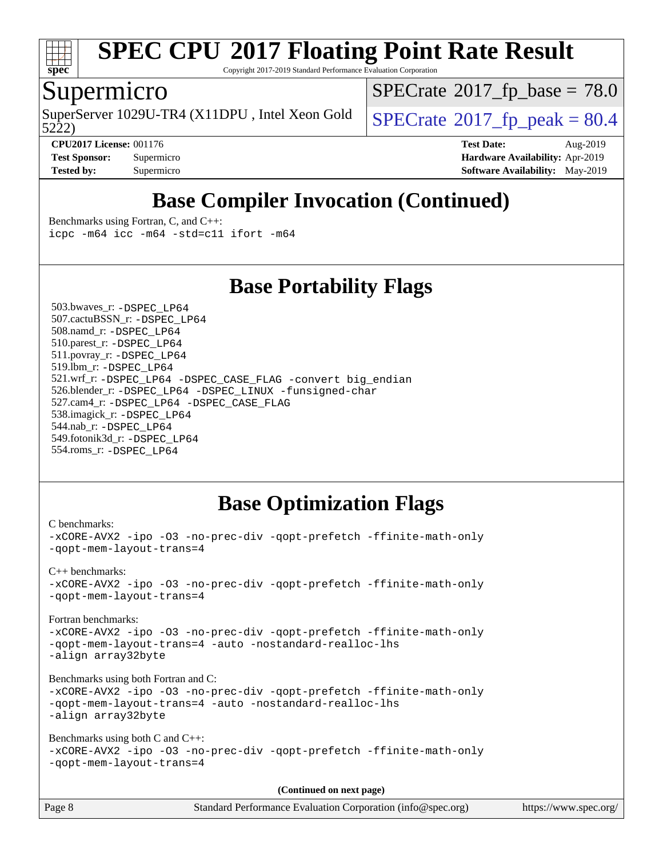

Copyright 2017-2019 Standard Performance Evaluation Corporation

### Supermicro

SuperServer 1029U-TR4 (X11DPU, Intel Xeon Gold  $\big|$  [SPECrate](http://www.spec.org/auto/cpu2017/Docs/result-fields.html#SPECrate2017fppeak)<sup>®</sup>[2017\\_fp\\_peak = 8](http://www.spec.org/auto/cpu2017/Docs/result-fields.html#SPECrate2017fppeak)0.4

 $SPECrate$ <sup>®</sup>[2017\\_fp\\_base =](http://www.spec.org/auto/cpu2017/Docs/result-fields.html#SPECrate2017fpbase) 78.0

5222)

**[CPU2017 License:](http://www.spec.org/auto/cpu2017/Docs/result-fields.html#CPU2017License)** 001176 **[Test Date:](http://www.spec.org/auto/cpu2017/Docs/result-fields.html#TestDate)** Aug-2019 **[Test Sponsor:](http://www.spec.org/auto/cpu2017/Docs/result-fields.html#TestSponsor)** Supermicro **[Hardware Availability:](http://www.spec.org/auto/cpu2017/Docs/result-fields.html#HardwareAvailability)** Apr-2019 **[Tested by:](http://www.spec.org/auto/cpu2017/Docs/result-fields.html#Testedby)** Supermicro **[Software Availability:](http://www.spec.org/auto/cpu2017/Docs/result-fields.html#SoftwareAvailability)** May-2019

# **[Base Compiler Invocation \(Continued\)](http://www.spec.org/auto/cpu2017/Docs/result-fields.html#BaseCompilerInvocation)**

[Benchmarks using Fortran, C, and C++:](http://www.spec.org/auto/cpu2017/Docs/result-fields.html#BenchmarksusingFortranCandCXX) [icpc -m64](http://www.spec.org/cpu2017/results/res2019q3/cpu2017-20190819-17118.flags.html#user_CC_CXX_FCbase_intel_icpc_64bit_4ecb2543ae3f1412ef961e0650ca070fec7b7afdcd6ed48761b84423119d1bf6bdf5cad15b44d48e7256388bc77273b966e5eb805aefd121eb22e9299b2ec9d9) [icc -m64 -std=c11](http://www.spec.org/cpu2017/results/res2019q3/cpu2017-20190819-17118.flags.html#user_CC_CXX_FCbase_intel_icc_64bit_c11_33ee0cdaae7deeeab2a9725423ba97205ce30f63b9926c2519791662299b76a0318f32ddfffdc46587804de3178b4f9328c46fa7c2b0cd779d7a61945c91cd35) [ifort -m64](http://www.spec.org/cpu2017/results/res2019q3/cpu2017-20190819-17118.flags.html#user_CC_CXX_FCbase_intel_ifort_64bit_24f2bb282fbaeffd6157abe4f878425411749daecae9a33200eee2bee2fe76f3b89351d69a8130dd5949958ce389cf37ff59a95e7a40d588e8d3a57e0c3fd751)

### **[Base Portability Flags](http://www.spec.org/auto/cpu2017/Docs/result-fields.html#BasePortabilityFlags)**

 503.bwaves\_r: [-DSPEC\\_LP64](http://www.spec.org/cpu2017/results/res2019q3/cpu2017-20190819-17118.flags.html#suite_basePORTABILITY503_bwaves_r_DSPEC_LP64) 507.cactuBSSN\_r: [-DSPEC\\_LP64](http://www.spec.org/cpu2017/results/res2019q3/cpu2017-20190819-17118.flags.html#suite_basePORTABILITY507_cactuBSSN_r_DSPEC_LP64) 508.namd\_r: [-DSPEC\\_LP64](http://www.spec.org/cpu2017/results/res2019q3/cpu2017-20190819-17118.flags.html#suite_basePORTABILITY508_namd_r_DSPEC_LP64) 510.parest\_r: [-DSPEC\\_LP64](http://www.spec.org/cpu2017/results/res2019q3/cpu2017-20190819-17118.flags.html#suite_basePORTABILITY510_parest_r_DSPEC_LP64) 511.povray\_r: [-DSPEC\\_LP64](http://www.spec.org/cpu2017/results/res2019q3/cpu2017-20190819-17118.flags.html#suite_basePORTABILITY511_povray_r_DSPEC_LP64) 519.lbm\_r: [-DSPEC\\_LP64](http://www.spec.org/cpu2017/results/res2019q3/cpu2017-20190819-17118.flags.html#suite_basePORTABILITY519_lbm_r_DSPEC_LP64) 521.wrf\_r: [-DSPEC\\_LP64](http://www.spec.org/cpu2017/results/res2019q3/cpu2017-20190819-17118.flags.html#suite_basePORTABILITY521_wrf_r_DSPEC_LP64) [-DSPEC\\_CASE\\_FLAG](http://www.spec.org/cpu2017/results/res2019q3/cpu2017-20190819-17118.flags.html#b521.wrf_r_baseCPORTABILITY_DSPEC_CASE_FLAG) [-convert big\\_endian](http://www.spec.org/cpu2017/results/res2019q3/cpu2017-20190819-17118.flags.html#user_baseFPORTABILITY521_wrf_r_convert_big_endian_c3194028bc08c63ac5d04de18c48ce6d347e4e562e8892b8bdbdc0214820426deb8554edfa529a3fb25a586e65a3d812c835984020483e7e73212c4d31a38223) 526.blender\_r: [-DSPEC\\_LP64](http://www.spec.org/cpu2017/results/res2019q3/cpu2017-20190819-17118.flags.html#suite_basePORTABILITY526_blender_r_DSPEC_LP64) [-DSPEC\\_LINUX](http://www.spec.org/cpu2017/results/res2019q3/cpu2017-20190819-17118.flags.html#b526.blender_r_baseCPORTABILITY_DSPEC_LINUX) [-funsigned-char](http://www.spec.org/cpu2017/results/res2019q3/cpu2017-20190819-17118.flags.html#user_baseCPORTABILITY526_blender_r_force_uchar_40c60f00ab013830e2dd6774aeded3ff59883ba5a1fc5fc14077f794d777847726e2a5858cbc7672e36e1b067e7e5c1d9a74f7176df07886a243d7cc18edfe67) 527.cam4\_r: [-DSPEC\\_LP64](http://www.spec.org/cpu2017/results/res2019q3/cpu2017-20190819-17118.flags.html#suite_basePORTABILITY527_cam4_r_DSPEC_LP64) [-DSPEC\\_CASE\\_FLAG](http://www.spec.org/cpu2017/results/res2019q3/cpu2017-20190819-17118.flags.html#b527.cam4_r_baseCPORTABILITY_DSPEC_CASE_FLAG) 538.imagick\_r: [-DSPEC\\_LP64](http://www.spec.org/cpu2017/results/res2019q3/cpu2017-20190819-17118.flags.html#suite_basePORTABILITY538_imagick_r_DSPEC_LP64) 544.nab\_r: [-DSPEC\\_LP64](http://www.spec.org/cpu2017/results/res2019q3/cpu2017-20190819-17118.flags.html#suite_basePORTABILITY544_nab_r_DSPEC_LP64) 549.fotonik3d\_r: [-DSPEC\\_LP64](http://www.spec.org/cpu2017/results/res2019q3/cpu2017-20190819-17118.flags.html#suite_basePORTABILITY549_fotonik3d_r_DSPEC_LP64) 554.roms\_r: [-DSPEC\\_LP64](http://www.spec.org/cpu2017/results/res2019q3/cpu2017-20190819-17118.flags.html#suite_basePORTABILITY554_roms_r_DSPEC_LP64)

## **[Base Optimization Flags](http://www.spec.org/auto/cpu2017/Docs/result-fields.html#BaseOptimizationFlags)**

```
C benchmarks: 
-xCORE-AVX2 -ipo -O3 -no-prec-div -qopt-prefetch -ffinite-math-only
-qopt-mem-layout-trans=4
C++ benchmarks: 
-xCORE-AVX2 -ipo -O3 -no-prec-div -qopt-prefetch -ffinite-math-only
-qopt-mem-layout-trans=4
Fortran benchmarks: 
-xCORE-AVX2 -ipo -O3 -no-prec-div -qopt-prefetch -ffinite-math-only
-qopt-mem-layout-trans=4 -auto -nostandard-realloc-lhs
-align array32byte
Benchmarks using both Fortran and C: 
-xCORE-AVX2 -ipo -O3 -no-prec-div -qopt-prefetch -ffinite-math-only
-qopt-mem-layout-trans=4 -auto -nostandard-realloc-lhs
-align array32byte
Benchmarks using both C and C++: 
-xCORE-AVX2 -ipo -O3 -no-prec-div -qopt-prefetch -ffinite-math-only
-qopt-mem-layout-trans=4
                                      (Continued on next page)
```

| Page 8 | Standard Performance Evaluation Corporation (info@spec.org) | https://www.spec.org/ |  |
|--------|-------------------------------------------------------------|-----------------------|--|
|--------|-------------------------------------------------------------|-----------------------|--|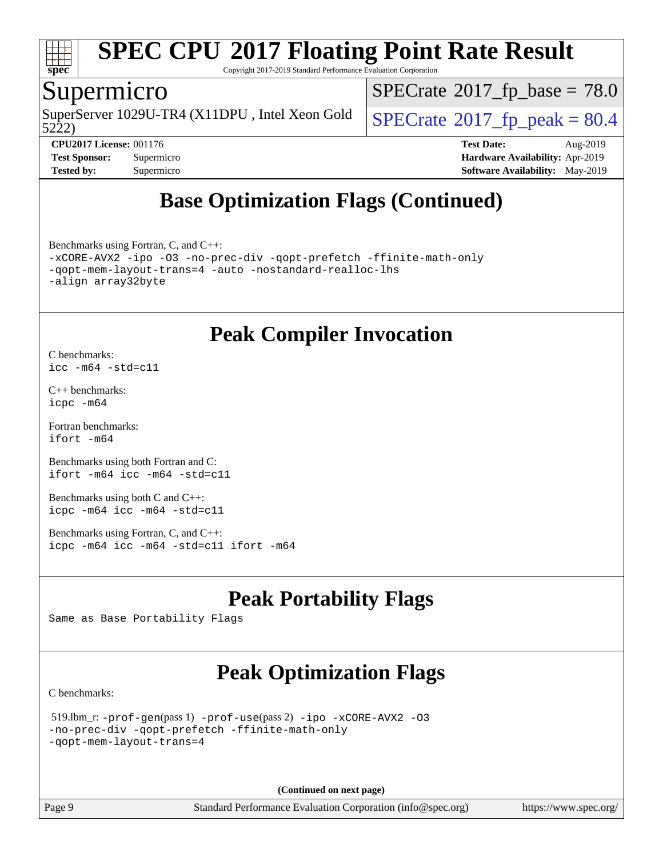

Copyright 2017-2019 Standard Performance Evaluation Corporation

### Supermicro

SuperServer 1029U-TR4 (X11DPU, Intel Xeon Gold<br>5222)

 $SPECTate@2017_fp\_base = 78.0$ 

 $SPECTate@2017_fp\_peak = 80.4$ 

**[CPU2017 License:](http://www.spec.org/auto/cpu2017/Docs/result-fields.html#CPU2017License)** 001176 **[Test Date:](http://www.spec.org/auto/cpu2017/Docs/result-fields.html#TestDate)** Aug-2019 **[Test Sponsor:](http://www.spec.org/auto/cpu2017/Docs/result-fields.html#TestSponsor)** Supermicro **[Hardware Availability:](http://www.spec.org/auto/cpu2017/Docs/result-fields.html#HardwareAvailability)** Apr-2019 **[Tested by:](http://www.spec.org/auto/cpu2017/Docs/result-fields.html#Testedby)** Supermicro **[Software Availability:](http://www.spec.org/auto/cpu2017/Docs/result-fields.html#SoftwareAvailability)** May-2019

# **[Base Optimization Flags \(Continued\)](http://www.spec.org/auto/cpu2017/Docs/result-fields.html#BaseOptimizationFlags)**

[Benchmarks using Fortran, C, and C++:](http://www.spec.org/auto/cpu2017/Docs/result-fields.html#BenchmarksusingFortranCandCXX) [-xCORE-AVX2](http://www.spec.org/cpu2017/results/res2019q3/cpu2017-20190819-17118.flags.html#user_CC_CXX_FCbase_f-xCORE-AVX2) [-ipo](http://www.spec.org/cpu2017/results/res2019q3/cpu2017-20190819-17118.flags.html#user_CC_CXX_FCbase_f-ipo) [-O3](http://www.spec.org/cpu2017/results/res2019q3/cpu2017-20190819-17118.flags.html#user_CC_CXX_FCbase_f-O3) [-no-prec-div](http://www.spec.org/cpu2017/results/res2019q3/cpu2017-20190819-17118.flags.html#user_CC_CXX_FCbase_f-no-prec-div) [-qopt-prefetch](http://www.spec.org/cpu2017/results/res2019q3/cpu2017-20190819-17118.flags.html#user_CC_CXX_FCbase_f-qopt-prefetch) [-ffinite-math-only](http://www.spec.org/cpu2017/results/res2019q3/cpu2017-20190819-17118.flags.html#user_CC_CXX_FCbase_f_finite_math_only_cb91587bd2077682c4b38af759c288ed7c732db004271a9512da14a4f8007909a5f1427ecbf1a0fb78ff2a814402c6114ac565ca162485bbcae155b5e4258871) [-qopt-mem-layout-trans=4](http://www.spec.org/cpu2017/results/res2019q3/cpu2017-20190819-17118.flags.html#user_CC_CXX_FCbase_f-qopt-mem-layout-trans_fa39e755916c150a61361b7846f310bcdf6f04e385ef281cadf3647acec3f0ae266d1a1d22d972a7087a248fd4e6ca390a3634700869573d231a252c784941a8) [-auto](http://www.spec.org/cpu2017/results/res2019q3/cpu2017-20190819-17118.flags.html#user_CC_CXX_FCbase_f-auto) [-nostandard-realloc-lhs](http://www.spec.org/cpu2017/results/res2019q3/cpu2017-20190819-17118.flags.html#user_CC_CXX_FCbase_f_2003_std_realloc_82b4557e90729c0f113870c07e44d33d6f5a304b4f63d4c15d2d0f1fab99f5daaed73bdb9275d9ae411527f28b936061aa8b9c8f2d63842963b95c9dd6426b8a) [-align array32byte](http://www.spec.org/cpu2017/results/res2019q3/cpu2017-20190819-17118.flags.html#user_CC_CXX_FCbase_align_array32byte_b982fe038af199962ba9a80c053b8342c548c85b40b8e86eb3cc33dee0d7986a4af373ac2d51c3f7cf710a18d62fdce2948f201cd044323541f22fc0fffc51b6)

### **[Peak Compiler Invocation](http://www.spec.org/auto/cpu2017/Docs/result-fields.html#PeakCompilerInvocation)**

[C benchmarks](http://www.spec.org/auto/cpu2017/Docs/result-fields.html#Cbenchmarks): [icc -m64 -std=c11](http://www.spec.org/cpu2017/results/res2019q3/cpu2017-20190819-17118.flags.html#user_CCpeak_intel_icc_64bit_c11_33ee0cdaae7deeeab2a9725423ba97205ce30f63b9926c2519791662299b76a0318f32ddfffdc46587804de3178b4f9328c46fa7c2b0cd779d7a61945c91cd35)

[C++ benchmarks:](http://www.spec.org/auto/cpu2017/Docs/result-fields.html#CXXbenchmarks) [icpc -m64](http://www.spec.org/cpu2017/results/res2019q3/cpu2017-20190819-17118.flags.html#user_CXXpeak_intel_icpc_64bit_4ecb2543ae3f1412ef961e0650ca070fec7b7afdcd6ed48761b84423119d1bf6bdf5cad15b44d48e7256388bc77273b966e5eb805aefd121eb22e9299b2ec9d9)

[Fortran benchmarks](http://www.spec.org/auto/cpu2017/Docs/result-fields.html#Fortranbenchmarks): [ifort -m64](http://www.spec.org/cpu2017/results/res2019q3/cpu2017-20190819-17118.flags.html#user_FCpeak_intel_ifort_64bit_24f2bb282fbaeffd6157abe4f878425411749daecae9a33200eee2bee2fe76f3b89351d69a8130dd5949958ce389cf37ff59a95e7a40d588e8d3a57e0c3fd751)

[Benchmarks using both Fortran and C](http://www.spec.org/auto/cpu2017/Docs/result-fields.html#BenchmarksusingbothFortranandC): [ifort -m64](http://www.spec.org/cpu2017/results/res2019q3/cpu2017-20190819-17118.flags.html#user_CC_FCpeak_intel_ifort_64bit_24f2bb282fbaeffd6157abe4f878425411749daecae9a33200eee2bee2fe76f3b89351d69a8130dd5949958ce389cf37ff59a95e7a40d588e8d3a57e0c3fd751) [icc -m64 -std=c11](http://www.spec.org/cpu2017/results/res2019q3/cpu2017-20190819-17118.flags.html#user_CC_FCpeak_intel_icc_64bit_c11_33ee0cdaae7deeeab2a9725423ba97205ce30f63b9926c2519791662299b76a0318f32ddfffdc46587804de3178b4f9328c46fa7c2b0cd779d7a61945c91cd35)

[Benchmarks using both C and C++](http://www.spec.org/auto/cpu2017/Docs/result-fields.html#BenchmarksusingbothCandCXX): [icpc -m64](http://www.spec.org/cpu2017/results/res2019q3/cpu2017-20190819-17118.flags.html#user_CC_CXXpeak_intel_icpc_64bit_4ecb2543ae3f1412ef961e0650ca070fec7b7afdcd6ed48761b84423119d1bf6bdf5cad15b44d48e7256388bc77273b966e5eb805aefd121eb22e9299b2ec9d9) [icc -m64 -std=c11](http://www.spec.org/cpu2017/results/res2019q3/cpu2017-20190819-17118.flags.html#user_CC_CXXpeak_intel_icc_64bit_c11_33ee0cdaae7deeeab2a9725423ba97205ce30f63b9926c2519791662299b76a0318f32ddfffdc46587804de3178b4f9328c46fa7c2b0cd779d7a61945c91cd35)

[Benchmarks using Fortran, C, and C++:](http://www.spec.org/auto/cpu2017/Docs/result-fields.html#BenchmarksusingFortranCandCXX) [icpc -m64](http://www.spec.org/cpu2017/results/res2019q3/cpu2017-20190819-17118.flags.html#user_CC_CXX_FCpeak_intel_icpc_64bit_4ecb2543ae3f1412ef961e0650ca070fec7b7afdcd6ed48761b84423119d1bf6bdf5cad15b44d48e7256388bc77273b966e5eb805aefd121eb22e9299b2ec9d9) [icc -m64 -std=c11](http://www.spec.org/cpu2017/results/res2019q3/cpu2017-20190819-17118.flags.html#user_CC_CXX_FCpeak_intel_icc_64bit_c11_33ee0cdaae7deeeab2a9725423ba97205ce30f63b9926c2519791662299b76a0318f32ddfffdc46587804de3178b4f9328c46fa7c2b0cd779d7a61945c91cd35) [ifort -m64](http://www.spec.org/cpu2017/results/res2019q3/cpu2017-20190819-17118.flags.html#user_CC_CXX_FCpeak_intel_ifort_64bit_24f2bb282fbaeffd6157abe4f878425411749daecae9a33200eee2bee2fe76f3b89351d69a8130dd5949958ce389cf37ff59a95e7a40d588e8d3a57e0c3fd751)

# **[Peak Portability Flags](http://www.spec.org/auto/cpu2017/Docs/result-fields.html#PeakPortabilityFlags)**

Same as Base Portability Flags

# **[Peak Optimization Flags](http://www.spec.org/auto/cpu2017/Docs/result-fields.html#PeakOptimizationFlags)**

[C benchmarks](http://www.spec.org/auto/cpu2017/Docs/result-fields.html#Cbenchmarks):

```
 519.lbm_r: -prof-gen(pass 1) -prof-use(pass 2) -ipo -xCORE-AVX2 -O3
-no-prec-div -qopt-prefetch -ffinite-math-only
-qopt-mem-layout-trans=4
```
**(Continued on next page)**

Page 9 Standard Performance Evaluation Corporation [\(info@spec.org\)](mailto:info@spec.org) <https://www.spec.org/>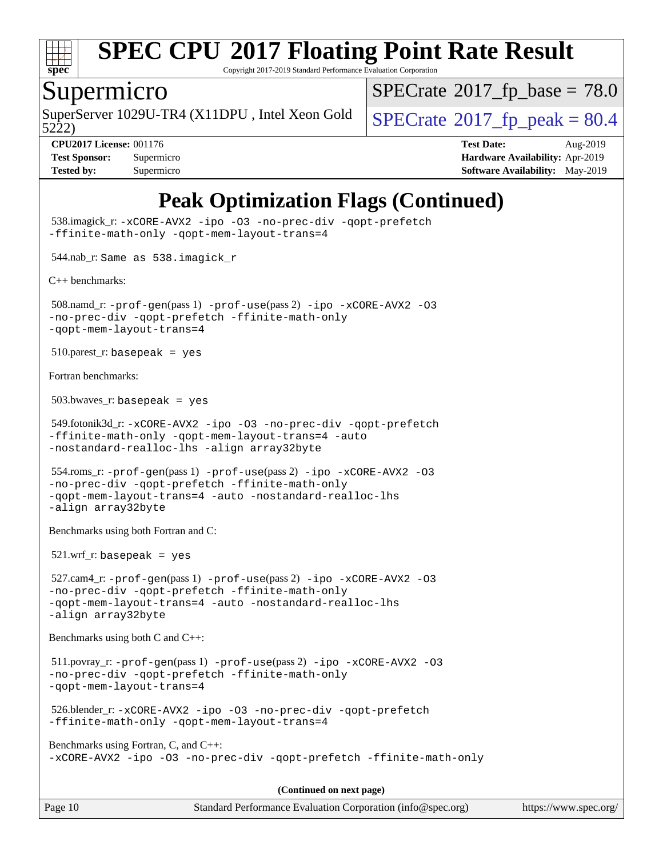

Copyright 2017-2019 Standard Performance Evaluation Corporation

### Supermicro

SuperServer 1029U-TR4 (X11DPU, Intel Xeon Gold  $\big|$  [SPECrate](http://www.spec.org/auto/cpu2017/Docs/result-fields.html#SPECrate2017fppeak)<sup>®</sup>[2017\\_fp\\_peak = 8](http://www.spec.org/auto/cpu2017/Docs/result-fields.html#SPECrate2017fppeak)0.4

 $SPECTate@2017_fp\_base = 78.0$ 

5222)

**[CPU2017 License:](http://www.spec.org/auto/cpu2017/Docs/result-fields.html#CPU2017License)** 001176 **[Test Date:](http://www.spec.org/auto/cpu2017/Docs/result-fields.html#TestDate)** Aug-2019 **[Test Sponsor:](http://www.spec.org/auto/cpu2017/Docs/result-fields.html#TestSponsor)** Supermicro **[Hardware Availability:](http://www.spec.org/auto/cpu2017/Docs/result-fields.html#HardwareAvailability)** Apr-2019 **[Tested by:](http://www.spec.org/auto/cpu2017/Docs/result-fields.html#Testedby)** Supermicro **Supermicro [Software Availability:](http://www.spec.org/auto/cpu2017/Docs/result-fields.html#SoftwareAvailability)** May-2019

# **[Peak Optimization Flags \(Continued\)](http://www.spec.org/auto/cpu2017/Docs/result-fields.html#PeakOptimizationFlags)**

Page 10 Standard Performance Evaluation Corporation [\(info@spec.org\)](mailto:info@spec.org) <https://www.spec.org/> 538.imagick\_r: [-xCORE-AVX2](http://www.spec.org/cpu2017/results/res2019q3/cpu2017-20190819-17118.flags.html#user_peakCOPTIMIZE538_imagick_r_f-xCORE-AVX2) [-ipo](http://www.spec.org/cpu2017/results/res2019q3/cpu2017-20190819-17118.flags.html#user_peakCOPTIMIZE538_imagick_r_f-ipo) [-O3](http://www.spec.org/cpu2017/results/res2019q3/cpu2017-20190819-17118.flags.html#user_peakCOPTIMIZE538_imagick_r_f-O3) [-no-prec-div](http://www.spec.org/cpu2017/results/res2019q3/cpu2017-20190819-17118.flags.html#user_peakCOPTIMIZE538_imagick_r_f-no-prec-div) [-qopt-prefetch](http://www.spec.org/cpu2017/results/res2019q3/cpu2017-20190819-17118.flags.html#user_peakCOPTIMIZE538_imagick_r_f-qopt-prefetch) [-ffinite-math-only](http://www.spec.org/cpu2017/results/res2019q3/cpu2017-20190819-17118.flags.html#user_peakCOPTIMIZE538_imagick_r_f_finite_math_only_cb91587bd2077682c4b38af759c288ed7c732db004271a9512da14a4f8007909a5f1427ecbf1a0fb78ff2a814402c6114ac565ca162485bbcae155b5e4258871) [-qopt-mem-layout-trans=4](http://www.spec.org/cpu2017/results/res2019q3/cpu2017-20190819-17118.flags.html#user_peakCOPTIMIZE538_imagick_r_f-qopt-mem-layout-trans_fa39e755916c150a61361b7846f310bcdf6f04e385ef281cadf3647acec3f0ae266d1a1d22d972a7087a248fd4e6ca390a3634700869573d231a252c784941a8) 544.nab\_r: Same as 538.imagick\_r [C++ benchmarks:](http://www.spec.org/auto/cpu2017/Docs/result-fields.html#CXXbenchmarks) 508.namd\_r: [-prof-gen](http://www.spec.org/cpu2017/results/res2019q3/cpu2017-20190819-17118.flags.html#user_peakPASS1_CXXFLAGSPASS1_LDFLAGS508_namd_r_prof_gen_5aa4926d6013ddb2a31985c654b3eb18169fc0c6952a63635c234f711e6e63dd76e94ad52365559451ec499a2cdb89e4dc58ba4c67ef54ca681ffbe1461d6b36)(pass 1) [-prof-use](http://www.spec.org/cpu2017/results/res2019q3/cpu2017-20190819-17118.flags.html#user_peakPASS2_CXXFLAGSPASS2_LDFLAGS508_namd_r_prof_use_1a21ceae95f36a2b53c25747139a6c16ca95bd9def2a207b4f0849963b97e94f5260e30a0c64f4bb623698870e679ca08317ef8150905d41bd88c6f78df73f19)(pass 2) [-ipo](http://www.spec.org/cpu2017/results/res2019q3/cpu2017-20190819-17118.flags.html#user_peakPASS1_CXXOPTIMIZEPASS2_CXXOPTIMIZE508_namd_r_f-ipo) [-xCORE-AVX2](http://www.spec.org/cpu2017/results/res2019q3/cpu2017-20190819-17118.flags.html#user_peakPASS2_CXXOPTIMIZE508_namd_r_f-xCORE-AVX2) [-O3](http://www.spec.org/cpu2017/results/res2019q3/cpu2017-20190819-17118.flags.html#user_peakPASS1_CXXOPTIMIZEPASS2_CXXOPTIMIZE508_namd_r_f-O3) [-no-prec-div](http://www.spec.org/cpu2017/results/res2019q3/cpu2017-20190819-17118.flags.html#user_peakPASS1_CXXOPTIMIZEPASS2_CXXOPTIMIZE508_namd_r_f-no-prec-div) [-qopt-prefetch](http://www.spec.org/cpu2017/results/res2019q3/cpu2017-20190819-17118.flags.html#user_peakPASS1_CXXOPTIMIZEPASS2_CXXOPTIMIZE508_namd_r_f-qopt-prefetch) [-ffinite-math-only](http://www.spec.org/cpu2017/results/res2019q3/cpu2017-20190819-17118.flags.html#user_peakPASS1_CXXOPTIMIZEPASS2_CXXOPTIMIZE508_namd_r_f_finite_math_only_cb91587bd2077682c4b38af759c288ed7c732db004271a9512da14a4f8007909a5f1427ecbf1a0fb78ff2a814402c6114ac565ca162485bbcae155b5e4258871) [-qopt-mem-layout-trans=4](http://www.spec.org/cpu2017/results/res2019q3/cpu2017-20190819-17118.flags.html#user_peakPASS1_CXXOPTIMIZEPASS2_CXXOPTIMIZE508_namd_r_f-qopt-mem-layout-trans_fa39e755916c150a61361b7846f310bcdf6f04e385ef281cadf3647acec3f0ae266d1a1d22d972a7087a248fd4e6ca390a3634700869573d231a252c784941a8)  $510.parest_r:$  basepeak = yes [Fortran benchmarks](http://www.spec.org/auto/cpu2017/Docs/result-fields.html#Fortranbenchmarks):  $503.bwaves$   $\Gamma$ : basepeak = yes 549.fotonik3d\_r: [-xCORE-AVX2](http://www.spec.org/cpu2017/results/res2019q3/cpu2017-20190819-17118.flags.html#user_peakFOPTIMIZE549_fotonik3d_r_f-xCORE-AVX2) [-ipo](http://www.spec.org/cpu2017/results/res2019q3/cpu2017-20190819-17118.flags.html#user_peakFOPTIMIZE549_fotonik3d_r_f-ipo) [-O3](http://www.spec.org/cpu2017/results/res2019q3/cpu2017-20190819-17118.flags.html#user_peakFOPTIMIZE549_fotonik3d_r_f-O3) [-no-prec-div](http://www.spec.org/cpu2017/results/res2019q3/cpu2017-20190819-17118.flags.html#user_peakFOPTIMIZE549_fotonik3d_r_f-no-prec-div) [-qopt-prefetch](http://www.spec.org/cpu2017/results/res2019q3/cpu2017-20190819-17118.flags.html#user_peakFOPTIMIZE549_fotonik3d_r_f-qopt-prefetch) [-ffinite-math-only](http://www.spec.org/cpu2017/results/res2019q3/cpu2017-20190819-17118.flags.html#user_peakFOPTIMIZE549_fotonik3d_r_f_finite_math_only_cb91587bd2077682c4b38af759c288ed7c732db004271a9512da14a4f8007909a5f1427ecbf1a0fb78ff2a814402c6114ac565ca162485bbcae155b5e4258871) [-qopt-mem-layout-trans=4](http://www.spec.org/cpu2017/results/res2019q3/cpu2017-20190819-17118.flags.html#user_peakFOPTIMIZE549_fotonik3d_r_f-qopt-mem-layout-trans_fa39e755916c150a61361b7846f310bcdf6f04e385ef281cadf3647acec3f0ae266d1a1d22d972a7087a248fd4e6ca390a3634700869573d231a252c784941a8) [-auto](http://www.spec.org/cpu2017/results/res2019q3/cpu2017-20190819-17118.flags.html#user_peakFOPTIMIZE549_fotonik3d_r_f-auto) [-nostandard-realloc-lhs](http://www.spec.org/cpu2017/results/res2019q3/cpu2017-20190819-17118.flags.html#user_peakEXTRA_FOPTIMIZE549_fotonik3d_r_f_2003_std_realloc_82b4557e90729c0f113870c07e44d33d6f5a304b4f63d4c15d2d0f1fab99f5daaed73bdb9275d9ae411527f28b936061aa8b9c8f2d63842963b95c9dd6426b8a) [-align array32byte](http://www.spec.org/cpu2017/results/res2019q3/cpu2017-20190819-17118.flags.html#user_peakEXTRA_FOPTIMIZE549_fotonik3d_r_align_array32byte_b982fe038af199962ba9a80c053b8342c548c85b40b8e86eb3cc33dee0d7986a4af373ac2d51c3f7cf710a18d62fdce2948f201cd044323541f22fc0fffc51b6) 554.roms\_r: [-prof-gen](http://www.spec.org/cpu2017/results/res2019q3/cpu2017-20190819-17118.flags.html#user_peakPASS1_FFLAGSPASS1_LDFLAGS554_roms_r_prof_gen_5aa4926d6013ddb2a31985c654b3eb18169fc0c6952a63635c234f711e6e63dd76e94ad52365559451ec499a2cdb89e4dc58ba4c67ef54ca681ffbe1461d6b36)(pass 1) [-prof-use](http://www.spec.org/cpu2017/results/res2019q3/cpu2017-20190819-17118.flags.html#user_peakPASS2_FFLAGSPASS2_LDFLAGS554_roms_r_prof_use_1a21ceae95f36a2b53c25747139a6c16ca95bd9def2a207b4f0849963b97e94f5260e30a0c64f4bb623698870e679ca08317ef8150905d41bd88c6f78df73f19)(pass 2) [-ipo](http://www.spec.org/cpu2017/results/res2019q3/cpu2017-20190819-17118.flags.html#user_peakPASS1_FOPTIMIZEPASS2_FOPTIMIZE554_roms_r_f-ipo) [-xCORE-AVX2](http://www.spec.org/cpu2017/results/res2019q3/cpu2017-20190819-17118.flags.html#user_peakPASS2_FOPTIMIZE554_roms_r_f-xCORE-AVX2) [-O3](http://www.spec.org/cpu2017/results/res2019q3/cpu2017-20190819-17118.flags.html#user_peakPASS1_FOPTIMIZEPASS2_FOPTIMIZE554_roms_r_f-O3) [-no-prec-div](http://www.spec.org/cpu2017/results/res2019q3/cpu2017-20190819-17118.flags.html#user_peakPASS1_FOPTIMIZEPASS2_FOPTIMIZE554_roms_r_f-no-prec-div) [-qopt-prefetch](http://www.spec.org/cpu2017/results/res2019q3/cpu2017-20190819-17118.flags.html#user_peakPASS1_FOPTIMIZEPASS2_FOPTIMIZE554_roms_r_f-qopt-prefetch) [-ffinite-math-only](http://www.spec.org/cpu2017/results/res2019q3/cpu2017-20190819-17118.flags.html#user_peakPASS1_FOPTIMIZEPASS2_FOPTIMIZE554_roms_r_f_finite_math_only_cb91587bd2077682c4b38af759c288ed7c732db004271a9512da14a4f8007909a5f1427ecbf1a0fb78ff2a814402c6114ac565ca162485bbcae155b5e4258871) [-qopt-mem-layout-trans=4](http://www.spec.org/cpu2017/results/res2019q3/cpu2017-20190819-17118.flags.html#user_peakPASS1_FOPTIMIZEPASS2_FOPTIMIZE554_roms_r_f-qopt-mem-layout-trans_fa39e755916c150a61361b7846f310bcdf6f04e385ef281cadf3647acec3f0ae266d1a1d22d972a7087a248fd4e6ca390a3634700869573d231a252c784941a8) [-auto](http://www.spec.org/cpu2017/results/res2019q3/cpu2017-20190819-17118.flags.html#user_peakPASS2_FOPTIMIZE554_roms_r_f-auto) [-nostandard-realloc-lhs](http://www.spec.org/cpu2017/results/res2019q3/cpu2017-20190819-17118.flags.html#user_peakEXTRA_FOPTIMIZE554_roms_r_f_2003_std_realloc_82b4557e90729c0f113870c07e44d33d6f5a304b4f63d4c15d2d0f1fab99f5daaed73bdb9275d9ae411527f28b936061aa8b9c8f2d63842963b95c9dd6426b8a) [-align array32byte](http://www.spec.org/cpu2017/results/res2019q3/cpu2017-20190819-17118.flags.html#user_peakEXTRA_FOPTIMIZE554_roms_r_align_array32byte_b982fe038af199962ba9a80c053b8342c548c85b40b8e86eb3cc33dee0d7986a4af373ac2d51c3f7cf710a18d62fdce2948f201cd044323541f22fc0fffc51b6) [Benchmarks using both Fortran and C](http://www.spec.org/auto/cpu2017/Docs/result-fields.html#BenchmarksusingbothFortranandC): 521.wrf\_r: basepeak = yes 527.cam4\_r: [-prof-gen](http://www.spec.org/cpu2017/results/res2019q3/cpu2017-20190819-17118.flags.html#user_peakPASS1_CFLAGSPASS1_FFLAGSPASS1_LDFLAGS527_cam4_r_prof_gen_5aa4926d6013ddb2a31985c654b3eb18169fc0c6952a63635c234f711e6e63dd76e94ad52365559451ec499a2cdb89e4dc58ba4c67ef54ca681ffbe1461d6b36)(pass 1) [-prof-use](http://www.spec.org/cpu2017/results/res2019q3/cpu2017-20190819-17118.flags.html#user_peakPASS2_CFLAGSPASS2_FFLAGSPASS2_LDFLAGS527_cam4_r_prof_use_1a21ceae95f36a2b53c25747139a6c16ca95bd9def2a207b4f0849963b97e94f5260e30a0c64f4bb623698870e679ca08317ef8150905d41bd88c6f78df73f19)(pass 2) [-ipo](http://www.spec.org/cpu2017/results/res2019q3/cpu2017-20190819-17118.flags.html#user_peakPASS1_COPTIMIZEPASS1_FOPTIMIZEPASS2_COPTIMIZEPASS2_FOPTIMIZE527_cam4_r_f-ipo) [-xCORE-AVX2](http://www.spec.org/cpu2017/results/res2019q3/cpu2017-20190819-17118.flags.html#user_peakPASS2_COPTIMIZEPASS2_FOPTIMIZE527_cam4_r_f-xCORE-AVX2) [-O3](http://www.spec.org/cpu2017/results/res2019q3/cpu2017-20190819-17118.flags.html#user_peakPASS1_COPTIMIZEPASS1_FOPTIMIZEPASS2_COPTIMIZEPASS2_FOPTIMIZE527_cam4_r_f-O3) [-no-prec-div](http://www.spec.org/cpu2017/results/res2019q3/cpu2017-20190819-17118.flags.html#user_peakPASS1_COPTIMIZEPASS1_FOPTIMIZEPASS2_COPTIMIZEPASS2_FOPTIMIZE527_cam4_r_f-no-prec-div) [-qopt-prefetch](http://www.spec.org/cpu2017/results/res2019q3/cpu2017-20190819-17118.flags.html#user_peakPASS1_COPTIMIZEPASS1_FOPTIMIZEPASS2_COPTIMIZEPASS2_FOPTIMIZE527_cam4_r_f-qopt-prefetch) [-ffinite-math-only](http://www.spec.org/cpu2017/results/res2019q3/cpu2017-20190819-17118.flags.html#user_peakPASS1_COPTIMIZEPASS1_FOPTIMIZEPASS2_COPTIMIZEPASS2_FOPTIMIZE527_cam4_r_f_finite_math_only_cb91587bd2077682c4b38af759c288ed7c732db004271a9512da14a4f8007909a5f1427ecbf1a0fb78ff2a814402c6114ac565ca162485bbcae155b5e4258871) [-qopt-mem-layout-trans=4](http://www.spec.org/cpu2017/results/res2019q3/cpu2017-20190819-17118.flags.html#user_peakPASS1_COPTIMIZEPASS1_FOPTIMIZEPASS2_COPTIMIZEPASS2_FOPTIMIZE527_cam4_r_f-qopt-mem-layout-trans_fa39e755916c150a61361b7846f310bcdf6f04e385ef281cadf3647acec3f0ae266d1a1d22d972a7087a248fd4e6ca390a3634700869573d231a252c784941a8) [-auto](http://www.spec.org/cpu2017/results/res2019q3/cpu2017-20190819-17118.flags.html#user_peakPASS2_FOPTIMIZE527_cam4_r_f-auto) [-nostandard-realloc-lhs](http://www.spec.org/cpu2017/results/res2019q3/cpu2017-20190819-17118.flags.html#user_peakEXTRA_FOPTIMIZE527_cam4_r_f_2003_std_realloc_82b4557e90729c0f113870c07e44d33d6f5a304b4f63d4c15d2d0f1fab99f5daaed73bdb9275d9ae411527f28b936061aa8b9c8f2d63842963b95c9dd6426b8a) [-align array32byte](http://www.spec.org/cpu2017/results/res2019q3/cpu2017-20190819-17118.flags.html#user_peakEXTRA_FOPTIMIZE527_cam4_r_align_array32byte_b982fe038af199962ba9a80c053b8342c548c85b40b8e86eb3cc33dee0d7986a4af373ac2d51c3f7cf710a18d62fdce2948f201cd044323541f22fc0fffc51b6) [Benchmarks using both C and C++](http://www.spec.org/auto/cpu2017/Docs/result-fields.html#BenchmarksusingbothCandCXX): 511.povray\_r: [-prof-gen](http://www.spec.org/cpu2017/results/res2019q3/cpu2017-20190819-17118.flags.html#user_peakPASS1_CFLAGSPASS1_CXXFLAGSPASS1_LDFLAGS511_povray_r_prof_gen_5aa4926d6013ddb2a31985c654b3eb18169fc0c6952a63635c234f711e6e63dd76e94ad52365559451ec499a2cdb89e4dc58ba4c67ef54ca681ffbe1461d6b36)(pass 1) [-prof-use](http://www.spec.org/cpu2017/results/res2019q3/cpu2017-20190819-17118.flags.html#user_peakPASS2_CFLAGSPASS2_CXXFLAGSPASS2_LDFLAGS511_povray_r_prof_use_1a21ceae95f36a2b53c25747139a6c16ca95bd9def2a207b4f0849963b97e94f5260e30a0c64f4bb623698870e679ca08317ef8150905d41bd88c6f78df73f19)(pass 2) [-ipo](http://www.spec.org/cpu2017/results/res2019q3/cpu2017-20190819-17118.flags.html#user_peakPASS1_COPTIMIZEPASS1_CXXOPTIMIZEPASS2_COPTIMIZEPASS2_CXXOPTIMIZE511_povray_r_f-ipo) [-xCORE-AVX2](http://www.spec.org/cpu2017/results/res2019q3/cpu2017-20190819-17118.flags.html#user_peakPASS2_COPTIMIZEPASS2_CXXOPTIMIZE511_povray_r_f-xCORE-AVX2) [-O3](http://www.spec.org/cpu2017/results/res2019q3/cpu2017-20190819-17118.flags.html#user_peakPASS1_COPTIMIZEPASS1_CXXOPTIMIZEPASS2_COPTIMIZEPASS2_CXXOPTIMIZE511_povray_r_f-O3) [-no-prec-div](http://www.spec.org/cpu2017/results/res2019q3/cpu2017-20190819-17118.flags.html#user_peakPASS1_COPTIMIZEPASS1_CXXOPTIMIZEPASS2_COPTIMIZEPASS2_CXXOPTIMIZE511_povray_r_f-no-prec-div) [-qopt-prefetch](http://www.spec.org/cpu2017/results/res2019q3/cpu2017-20190819-17118.flags.html#user_peakPASS1_COPTIMIZEPASS1_CXXOPTIMIZEPASS2_COPTIMIZEPASS2_CXXOPTIMIZE511_povray_r_f-qopt-prefetch) [-ffinite-math-only](http://www.spec.org/cpu2017/results/res2019q3/cpu2017-20190819-17118.flags.html#user_peakPASS1_COPTIMIZEPASS1_CXXOPTIMIZEPASS2_COPTIMIZEPASS2_CXXOPTIMIZE511_povray_r_f_finite_math_only_cb91587bd2077682c4b38af759c288ed7c732db004271a9512da14a4f8007909a5f1427ecbf1a0fb78ff2a814402c6114ac565ca162485bbcae155b5e4258871) [-qopt-mem-layout-trans=4](http://www.spec.org/cpu2017/results/res2019q3/cpu2017-20190819-17118.flags.html#user_peakPASS1_COPTIMIZEPASS1_CXXOPTIMIZEPASS2_COPTIMIZEPASS2_CXXOPTIMIZE511_povray_r_f-qopt-mem-layout-trans_fa39e755916c150a61361b7846f310bcdf6f04e385ef281cadf3647acec3f0ae266d1a1d22d972a7087a248fd4e6ca390a3634700869573d231a252c784941a8) 526.blender\_r: [-xCORE-AVX2](http://www.spec.org/cpu2017/results/res2019q3/cpu2017-20190819-17118.flags.html#user_peakCOPTIMIZECXXOPTIMIZE526_blender_r_f-xCORE-AVX2) [-ipo](http://www.spec.org/cpu2017/results/res2019q3/cpu2017-20190819-17118.flags.html#user_peakCOPTIMIZECXXOPTIMIZE526_blender_r_f-ipo) [-O3](http://www.spec.org/cpu2017/results/res2019q3/cpu2017-20190819-17118.flags.html#user_peakCOPTIMIZECXXOPTIMIZE526_blender_r_f-O3) [-no-prec-div](http://www.spec.org/cpu2017/results/res2019q3/cpu2017-20190819-17118.flags.html#user_peakCOPTIMIZECXXOPTIMIZE526_blender_r_f-no-prec-div) [-qopt-prefetch](http://www.spec.org/cpu2017/results/res2019q3/cpu2017-20190819-17118.flags.html#user_peakCOPTIMIZECXXOPTIMIZE526_blender_r_f-qopt-prefetch) [-ffinite-math-only](http://www.spec.org/cpu2017/results/res2019q3/cpu2017-20190819-17118.flags.html#user_peakCOPTIMIZECXXOPTIMIZE526_blender_r_f_finite_math_only_cb91587bd2077682c4b38af759c288ed7c732db004271a9512da14a4f8007909a5f1427ecbf1a0fb78ff2a814402c6114ac565ca162485bbcae155b5e4258871) [-qopt-mem-layout-trans=4](http://www.spec.org/cpu2017/results/res2019q3/cpu2017-20190819-17118.flags.html#user_peakCOPTIMIZECXXOPTIMIZE526_blender_r_f-qopt-mem-layout-trans_fa39e755916c150a61361b7846f310bcdf6f04e385ef281cadf3647acec3f0ae266d1a1d22d972a7087a248fd4e6ca390a3634700869573d231a252c784941a8) [Benchmarks using Fortran, C, and C++:](http://www.spec.org/auto/cpu2017/Docs/result-fields.html#BenchmarksusingFortranCandCXX) [-xCORE-AVX2](http://www.spec.org/cpu2017/results/res2019q3/cpu2017-20190819-17118.flags.html#user_CC_CXX_FCpeak_f-xCORE-AVX2) [-ipo](http://www.spec.org/cpu2017/results/res2019q3/cpu2017-20190819-17118.flags.html#user_CC_CXX_FCpeak_f-ipo) [-O3](http://www.spec.org/cpu2017/results/res2019q3/cpu2017-20190819-17118.flags.html#user_CC_CXX_FCpeak_f-O3) [-no-prec-div](http://www.spec.org/cpu2017/results/res2019q3/cpu2017-20190819-17118.flags.html#user_CC_CXX_FCpeak_f-no-prec-div) [-qopt-prefetch](http://www.spec.org/cpu2017/results/res2019q3/cpu2017-20190819-17118.flags.html#user_CC_CXX_FCpeak_f-qopt-prefetch) [-ffinite-math-only](http://www.spec.org/cpu2017/results/res2019q3/cpu2017-20190819-17118.flags.html#user_CC_CXX_FCpeak_f_finite_math_only_cb91587bd2077682c4b38af759c288ed7c732db004271a9512da14a4f8007909a5f1427ecbf1a0fb78ff2a814402c6114ac565ca162485bbcae155b5e4258871) **(Continued on next page)**